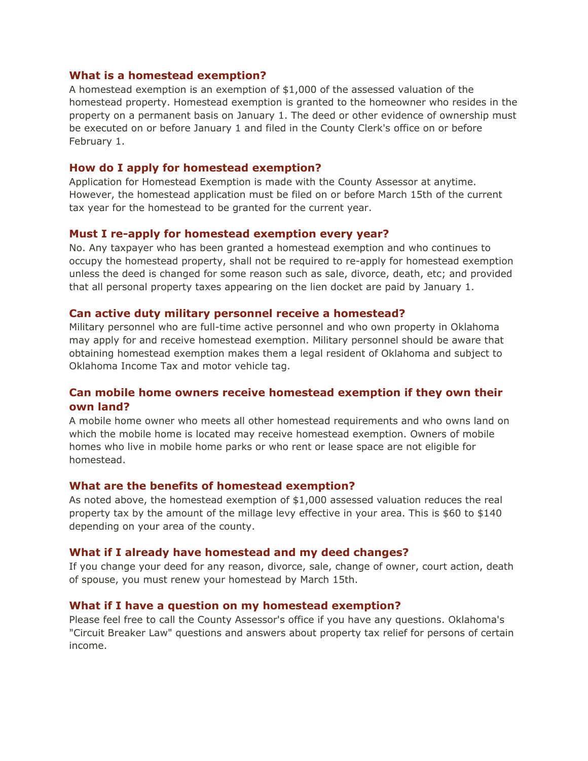## **What is a homestead exemption?**

A homestead exemption is an exemption of \$1,000 of the assessed valuation of the homestead property. Homestead exemption is granted to the homeowner who resides in the property on a permanent basis on January 1. The deed or other evidence of ownership must be executed on or before January 1 and filed in the County Clerk's office on or before February 1.

## **How do I apply for homestead exemption?**

Application for Homestead Exemption is made with the County Assessor at anytime. However, the homestead application must be filed on or before March 15th of the current tax year for the homestead to be granted for the current year.

## **Must I re-apply for homestead exemption every year?**

No. Any taxpayer who has been granted a homestead exemption and who continues to occupy the homestead property, shall not be required to re-apply for homestead exemption unless the deed is changed for some reason such as sale, divorce, death, etc; and provided that all personal property taxes appearing on the lien docket are paid by January 1.

## **Can active duty military personnel receive a homestead?**

Military personnel who are full-time active personnel and who own property in Oklahoma may apply for and receive homestead exemption. Military personnel should be aware that obtaining homestead exemption makes them a legal resident of Oklahoma and subject to Oklahoma Income Tax and motor vehicle tag.

## **Can mobile home owners receive homestead exemption if they own their own land?**

A mobile home owner who meets all other homestead requirements and who owns land on which the mobile home is located may receive homestead exemption. Owners of mobile homes who live in mobile home parks or who rent or lease space are not eligible for homestead.

## **What are the benefits of homestead exemption?**

As noted above, the homestead exemption of \$1,000 assessed valuation reduces the real property tax by the amount of the millage levy effective in your area. This is \$60 to \$140 depending on your area of the county.

### **What if I already have homestead and my deed changes?**

If you change your deed for any reason, divorce, sale, change of owner, court action, death of spouse, you must renew your homestead by March 15th.

#### **What if I have a question on my homestead exemption?**

Please feel free to call the County Assessor's office if you have any questions. Oklahoma's "Circuit Breaker Law" questions and answers about property tax relief for persons of certain income.